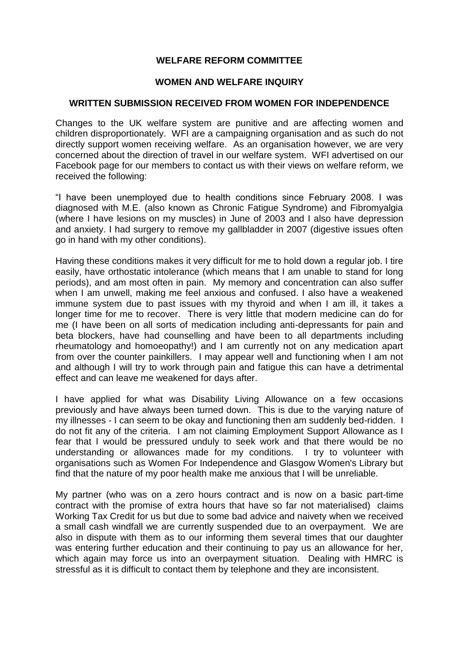# **WELFARE REFORM COMMITTEE**

## **WOMEN AND WELFARE INQUIRY**

## **WRITTEN SUBMISSION RECEIVED FROM WOMEN FOR INDEPENDENCE**

Changes to the UK welfare system are punitive and are affecting women and children disproportionately. WFI are a campaigning organisation and as such do not directly support women receiving welfare. As an organisation however, we are very concerned about the direction of travel in our welfare system. WFI advertised on our Facebook page for our members to contact us with their views on welfare reform, we received the following:

"I have been unemployed due to health conditions since February 2008. I was diagnosed with M.E. (also known as Chronic Fatigue Syndrome) and Fibromyalgia (where I have lesions on my muscles) in June of 2003 and I also have depression and anxiety. I had surgery to remove my gallbladder in 2007 (digestive issues often go in hand with my other conditions).

Having these conditions makes it very difficult for me to hold down a regular job. I tire easily, have orthostatic intolerance (which means that I am unable to stand for long periods), and am most often in pain. My memory and concentration can also suffer when I am unwell, making me feel anxious and confused. I also have a weakened immune system due to past issues with my thyroid and when I am ill, it takes a longer time for me to recover. There is very little that modern medicine can do for me (I have been on all sorts of medication including anti-depressants for pain and beta blockers, have had counselling and have been to all departments including rheumatology and homoeopathy!) and I am currently not on any medication apart from over the counter painkillers. I may appear well and functioning when I am not and although I will try to work through pain and fatigue this can have a detrimental effect and can leave me weakened for days after.

I have applied for what was Disability Living Allowance on a few occasions previously and have always been turned down. This is due to the varying nature of my illnesses - I can seem to be okay and functioning then am suddenly bed-ridden. I do not fit any of the criteria. I am not claiming Employment Support Allowance as I fear that I would be pressured unduly to seek work and that there would be no understanding or allowances made for my conditions. I try to volunteer with organisations such as Women For Independence and Glasgow Women's Library but find that the nature of my poor health make me anxious that I will be unreliable.

My partner (who was on a zero hours contract and is now on a basic part-time contract with the promise of extra hours that have so far not materialised) claims Working Tax Credit for us but due to some bad advice and naivety when we received a small cash windfall we are currently suspended due to an overpayment. We are also in dispute with them as to our informing them several times that our daughter was entering further education and their continuing to pay us an allowance for her, which again may force us into an overpayment situation. Dealing with HMRC is stressful as it is difficult to contact them by telephone and they are inconsistent.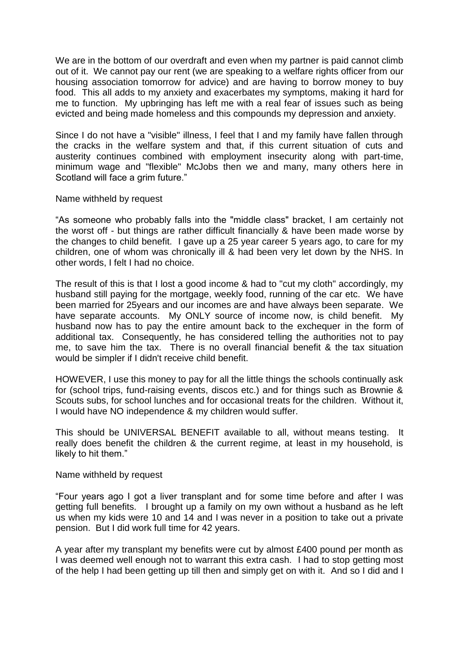We are in the bottom of our overdraft and even when my partner is paid cannot climb out of it. We cannot pay our rent (we are speaking to a welfare rights officer from our housing association tomorrow for advice) and are having to borrow money to buy food. This all adds to my anxiety and exacerbates my symptoms, making it hard for me to function. My upbringing has left me with a real fear of issues such as being evicted and being made homeless and this compounds my depression and anxiety.

Since I do not have a "visible" illness, I feel that I and my family have fallen through the cracks in the welfare system and that, if this current situation of cuts and austerity continues combined with employment insecurity along with part-time, minimum wage and "flexible" McJobs then we and many, many others here in Scotland will face a grim future."

#### Name withheld by request

"As someone who probably falls into the "middle class" bracket, I am certainly not the worst off - but things are rather difficult financially & have been made worse by the changes to child benefit. I gave up a 25 year career 5 years ago, to care for my children, one of whom was chronically ill & had been very let down by the NHS. In other words, I felt I had no choice.

The result of this is that I lost a good income & had to "cut my cloth" accordingly, my husband still paying for the mortgage, weekly food, running of the car etc. We have been married for 25years and our incomes are and have always been separate. We have separate accounts. My ONLY source of income now, is child benefit. My husband now has to pay the entire amount back to the exchequer in the form of additional tax. Consequently, he has considered telling the authorities not to pay me, to save him the tax. There is no overall financial benefit & the tax situation would be simpler if I didn't receive child benefit.

HOWEVER, I use this money to pay for all the little things the schools continually ask for (school trips, fund-raising events, discos etc.) and for things such as Brownie & Scouts subs, for school lunches and for occasional treats for the children. Without it, I would have NO independence & my children would suffer.

This should be UNIVERSAL BENEFIT available to all, without means testing. It really does benefit the children & the current regime, at least in my household, is likely to hit them."

## Name withheld by request

"Four years ago I got a liver transplant and for some time before and after I was getting full benefits. I brought up a family on my own without a husband as he left us when my kids were 10 and 14 and I was never in a position to take out a private pension. But I did work full time for 42 years.

A year after my transplant my benefits were cut by almost £400 pound per month as I was deemed well enough not to warrant this extra cash. I had to stop getting most of the help I had been getting up till then and simply get on with it. And so I did and I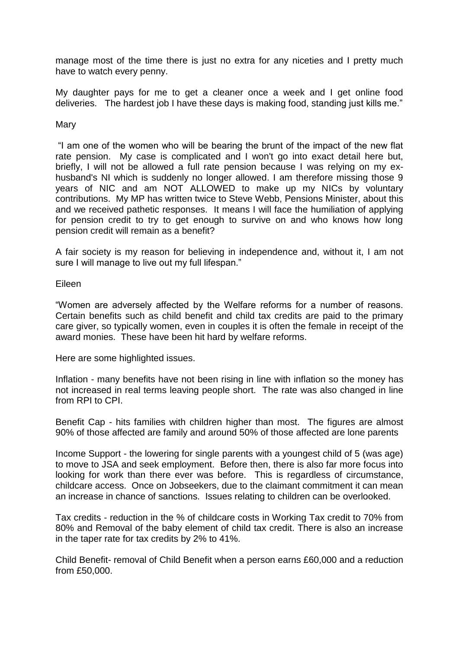manage most of the time there is just no extra for any niceties and I pretty much have to watch every penny.

My daughter pays for me to get a cleaner once a week and I get online food deliveries. The hardest job I have these days is making food, standing just kills me."

### **Mary**

"I am one of the women who will be bearing the brunt of the impact of the new flat rate pension. My case is complicated and I won't go into exact detail here but, briefly, I will not be allowed a full rate pension because I was relying on my exhusband's NI which is suddenly no longer allowed. I am therefore missing those 9 years of NIC and am NOT ALLOWED to make up my NICs by voluntary contributions. My MP has written twice to Steve Webb, Pensions Minister, about this and we received pathetic responses. It means I will face the humiliation of applying for pension credit to try to get enough to survive on and who knows how long pension credit will remain as a benefit?

A fair society is my reason for believing in independence and, without it, I am not sure I will manage to live out my full lifespan."

#### Eileen

"Women are adversely affected by the Welfare reforms for a number of reasons. Certain benefits such as child benefit and child tax credits are paid to the primary care giver, so typically women, even in couples it is often the female in receipt of the award monies. These have been hit hard by welfare reforms.

Here are some highlighted issues.

Inflation - many benefits have not been rising in line with inflation so the money has not increased in real terms leaving people short. The rate was also changed in line from RPI to CPI.

Benefit Cap - hits families with children higher than most. The figures are almost 90% of those affected are family and around 50% of those affected are lone parents

Income Support - the lowering for single parents with a youngest child of 5 (was age) to move to JSA and seek employment. Before then, there is also far more focus into looking for work than there ever was before. This is regardless of circumstance, childcare access. Once on Jobseekers, due to the claimant commitment it can mean an increase in chance of sanctions. Issues relating to children can be overlooked.

Tax credits - reduction in the % of childcare costs in Working Tax credit to 70% from 80% and Removal of the baby element of child tax credit. There is also an increase in the taper rate for tax credits by 2% to 41%.

Child Benefit- removal of Child Benefit when a person earns £60,000 and a reduction from £50,000.